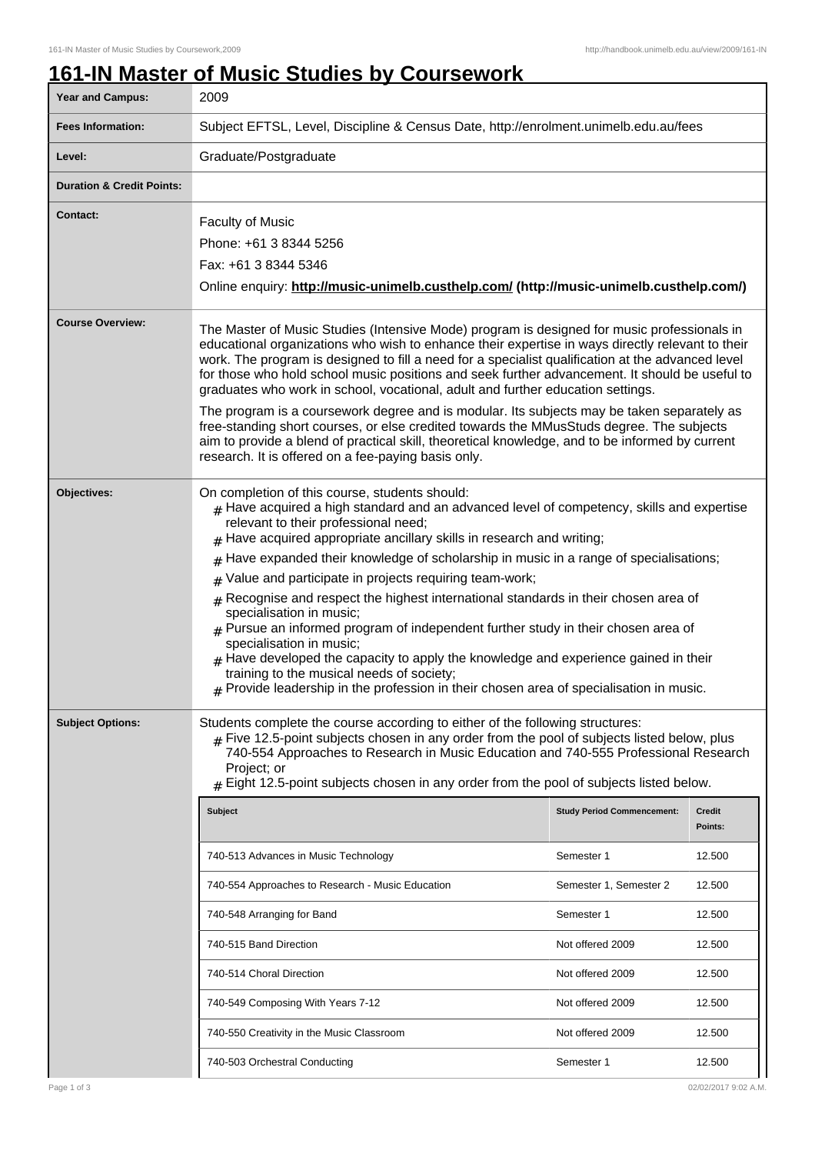## **161-IN Master of Music Studies by Coursework**

| Year and Campus:                     | 2009                                                                                                                                                                                                                                                                                                                                                                                                                                                                                                                                                                                                                                                                                                                                                                                                                                                                                                                           |                                                                                                                                                     |                                                                               |  |
|--------------------------------------|--------------------------------------------------------------------------------------------------------------------------------------------------------------------------------------------------------------------------------------------------------------------------------------------------------------------------------------------------------------------------------------------------------------------------------------------------------------------------------------------------------------------------------------------------------------------------------------------------------------------------------------------------------------------------------------------------------------------------------------------------------------------------------------------------------------------------------------------------------------------------------------------------------------------------------|-----------------------------------------------------------------------------------------------------------------------------------------------------|-------------------------------------------------------------------------------|--|
| <b>Fees Information:</b>             | Subject EFTSL, Level, Discipline & Census Date, http://enrolment.unimelb.edu.au/fees                                                                                                                                                                                                                                                                                                                                                                                                                                                                                                                                                                                                                                                                                                                                                                                                                                           |                                                                                                                                                     |                                                                               |  |
| Level:                               | Graduate/Postgraduate                                                                                                                                                                                                                                                                                                                                                                                                                                                                                                                                                                                                                                                                                                                                                                                                                                                                                                          |                                                                                                                                                     |                                                                               |  |
| <b>Duration &amp; Credit Points:</b> |                                                                                                                                                                                                                                                                                                                                                                                                                                                                                                                                                                                                                                                                                                                                                                                                                                                                                                                                |                                                                                                                                                     |                                                                               |  |
| <b>Contact:</b>                      | <b>Faculty of Music</b><br>Phone: +61 3 8344 5256<br>Fax: +61 3 8344 5346<br>Online enquiry: http://music-unimelb.custhelp.com/ (http://music-unimelb.custhelp.com/)                                                                                                                                                                                                                                                                                                                                                                                                                                                                                                                                                                                                                                                                                                                                                           |                                                                                                                                                     |                                                                               |  |
| <b>Course Overview:</b>              | The Master of Music Studies (Intensive Mode) program is designed for music professionals in<br>educational organizations who wish to enhance their expertise in ways directly relevant to their<br>work. The program is designed to fill a need for a specialist qualification at the advanced level<br>for those who hold school music positions and seek further advancement. It should be useful to<br>graduates who work in school, vocational, adult and further education settings.<br>The program is a coursework degree and is modular. Its subjects may be taken separately as<br>free-standing short courses, or else credited towards the MMusStuds degree. The subjects<br>aim to provide a blend of practical skill, theoretical knowledge, and to be informed by current<br>research. It is offered on a fee-paying basis only.                                                                                  |                                                                                                                                                     |                                                                               |  |
| Objectives:                          | On completion of this course, students should:<br>$_{\text{\#}}$ Have acquired a high standard and an advanced level of competency, skills and expertise<br>relevant to their professional need;<br>$#$ Have acquired appropriate ancillary skills in research and writing;<br>Have expanded their knowledge of scholarship in music in a range of specialisations;<br>#<br>Value and participate in projects requiring team-work;<br>#<br>Recognise and respect the highest international standards in their chosen area of<br>#<br>specialisation in music;<br>$#$ Pursue an informed program of independent further study in their chosen area of<br>specialisation in music;<br>$_{\text{\#}}$ Have developed the capacity to apply the knowledge and experience gained in their<br>training to the musical needs of society;<br>$#$ Provide leadership in the profession in their chosen area of specialisation in music. |                                                                                                                                                     |                                                                               |  |
| <b>Subject Options:</b>              | Students complete the course according to either of the following structures:<br>$*$ Five 12.5-point subjects chosen in any order from the pool of subjects listed below, plus<br>740-554 Approaches to Research in Music Education and 740-555 Professional Research<br>Project; or<br>Eight 12.5-point subjects chosen in any order from the pool of subjects listed below.<br><b>Subject</b><br>740-513 Advances in Music Technology<br>740-554 Approaches to Research - Music Education<br>740-548 Arranging for Band<br>740-515 Band Direction<br>740-514 Choral Direction<br>740-549 Composing With Years 7-12                                                                                                                                                                                                                                                                                                           | <b>Study Period Commencement:</b><br>Semester 1<br>Semester 1, Semester 2<br>Semester 1<br>Not offered 2009<br>Not offered 2009<br>Not offered 2009 | Credit<br>Points:<br>12.500<br>12.500<br>12.500<br>12.500<br>12.500<br>12.500 |  |
|                                      | 740-550 Creativity in the Music Classroom<br>740-503 Orchestral Conducting                                                                                                                                                                                                                                                                                                                                                                                                                                                                                                                                                                                                                                                                                                                                                                                                                                                     | Not offered 2009<br>Semester 1                                                                                                                      | 12.500<br>12.500                                                              |  |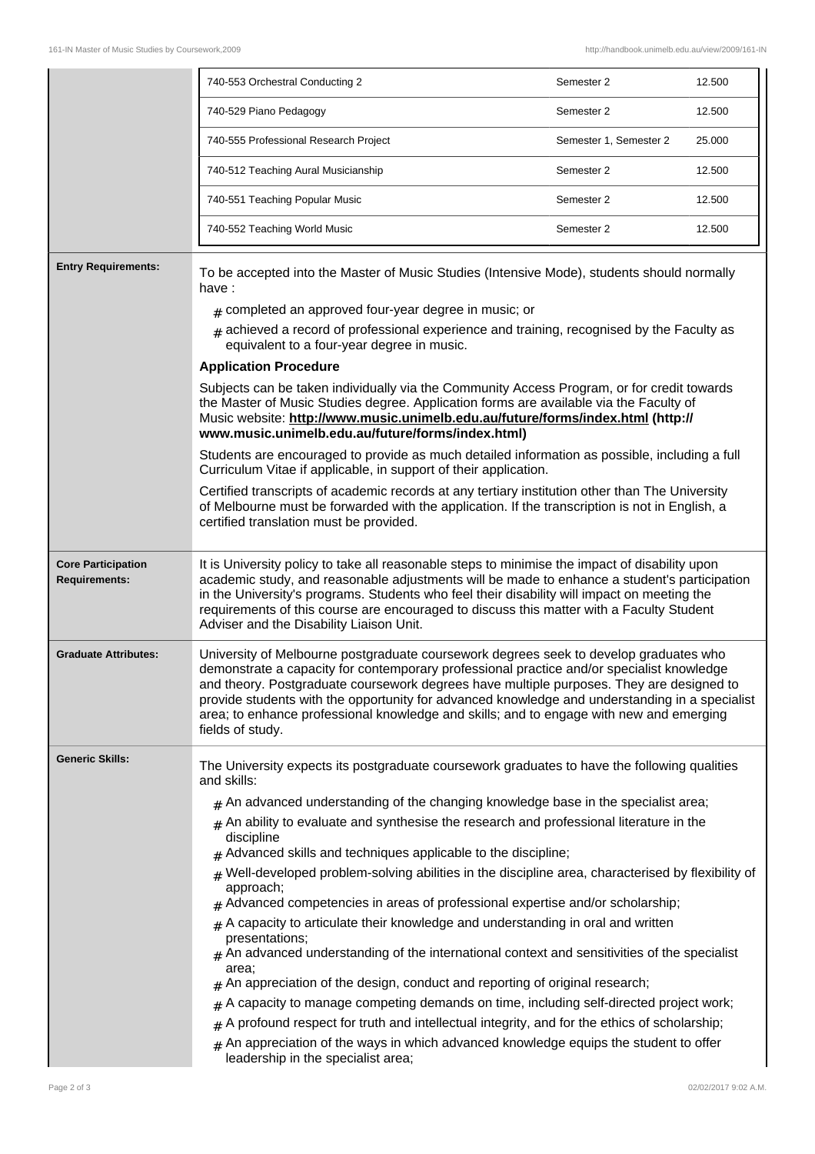|                                                   | 740-553 Orchestral Conducting 2                                                                                                                                                                                                                                                                                                                                                                                                                                                                 | Semester 2             | 12.500 |  |
|---------------------------------------------------|-------------------------------------------------------------------------------------------------------------------------------------------------------------------------------------------------------------------------------------------------------------------------------------------------------------------------------------------------------------------------------------------------------------------------------------------------------------------------------------------------|------------------------|--------|--|
|                                                   | 740-529 Piano Pedagogy                                                                                                                                                                                                                                                                                                                                                                                                                                                                          | Semester 2             | 12.500 |  |
|                                                   | 740-555 Professional Research Project                                                                                                                                                                                                                                                                                                                                                                                                                                                           | Semester 1, Semester 2 | 25.000 |  |
|                                                   | 740-512 Teaching Aural Musicianship                                                                                                                                                                                                                                                                                                                                                                                                                                                             | Semester 2             | 12.500 |  |
|                                                   | 740-551 Teaching Popular Music                                                                                                                                                                                                                                                                                                                                                                                                                                                                  | Semester 2             | 12.500 |  |
|                                                   | 740-552 Teaching World Music                                                                                                                                                                                                                                                                                                                                                                                                                                                                    | Semester 2             | 12.500 |  |
| <b>Entry Requirements:</b>                        | To be accepted into the Master of Music Studies (Intensive Mode), students should normally<br>have:<br>$#$ completed an approved four-year degree in music; or                                                                                                                                                                                                                                                                                                                                  |                        |        |  |
|                                                   | $_{\text{\#}}$ achieved a record of professional experience and training, recognised by the Faculty as                                                                                                                                                                                                                                                                                                                                                                                          |                        |        |  |
|                                                   | equivalent to a four-year degree in music.<br><b>Application Procedure</b>                                                                                                                                                                                                                                                                                                                                                                                                                      |                        |        |  |
|                                                   | Subjects can be taken individually via the Community Access Program, or for credit towards<br>the Master of Music Studies degree. Application forms are available via the Faculty of<br>Music website: http://www.music.unimelb.edu.au/future/forms/index.html (http://<br>www.music.unimelb.edu.au/future/forms/index.html)                                                                                                                                                                    |                        |        |  |
|                                                   | Students are encouraged to provide as much detailed information as possible, including a full<br>Curriculum Vitae if applicable, in support of their application.                                                                                                                                                                                                                                                                                                                               |                        |        |  |
|                                                   | Certified transcripts of academic records at any tertiary institution other than The University<br>of Melbourne must be forwarded with the application. If the transcription is not in English, a<br>certified translation must be provided.                                                                                                                                                                                                                                                    |                        |        |  |
| <b>Core Participation</b><br><b>Requirements:</b> | It is University policy to take all reasonable steps to minimise the impact of disability upon<br>academic study, and reasonable adjustments will be made to enhance a student's participation<br>in the University's programs. Students who feel their disability will impact on meeting the<br>requirements of this course are encouraged to discuss this matter with a Faculty Student<br>Adviser and the Disability Liaison Unit.                                                           |                        |        |  |
| <b>Graduate Attributes:</b>                       | University of Melbourne postgraduate coursework degrees seek to develop graduates who<br>demonstrate a capacity for contemporary professional practice and/or specialist knowledge<br>and theory. Postgraduate coursework degrees have multiple purposes. They are designed to<br>provide students with the opportunity for advanced knowledge and understanding in a specialist<br>area; to enhance professional knowledge and skills; and to engage with new and emerging<br>fields of study. |                        |        |  |
| <b>Generic Skills:</b>                            | The University expects its postgraduate coursework graduates to have the following qualities<br>and skills:                                                                                                                                                                                                                                                                                                                                                                                     |                        |        |  |
|                                                   | $#$ An advanced understanding of the changing knowledge base in the specialist area;                                                                                                                                                                                                                                                                                                                                                                                                            |                        |        |  |
|                                                   | $#$ An ability to evaluate and synthesise the research and professional literature in the<br>discipline                                                                                                                                                                                                                                                                                                                                                                                         |                        |        |  |
|                                                   | Advanced skills and techniques applicable to the discipline;                                                                                                                                                                                                                                                                                                                                                                                                                                    |                        |        |  |
|                                                   | Well-developed problem-solving abilities in the discipline area, characterised by flexibility of<br>approach;                                                                                                                                                                                                                                                                                                                                                                                   |                        |        |  |
|                                                   | $#$ Advanced competencies in areas of professional expertise and/or scholarship;<br>$#$ A capacity to articulate their knowledge and understanding in oral and written                                                                                                                                                                                                                                                                                                                          |                        |        |  |
|                                                   | presentations;<br>$#$ An advanced understanding of the international context and sensitivities of the specialist                                                                                                                                                                                                                                                                                                                                                                                |                        |        |  |
|                                                   | area:<br>An appreciation of the design, conduct and reporting of original research;                                                                                                                                                                                                                                                                                                                                                                                                             |                        |        |  |
|                                                   | A capacity to manage competing demands on time, including self-directed project work;<br>#                                                                                                                                                                                                                                                                                                                                                                                                      |                        |        |  |
|                                                   | A profound respect for truth and intellectual integrity, and for the ethics of scholarship;<br>#                                                                                                                                                                                                                                                                                                                                                                                                |                        |        |  |
|                                                   | An appreciation of the ways in which advanced knowledge equips the student to offer<br>#<br>leadership in the specialist area;                                                                                                                                                                                                                                                                                                                                                                  |                        |        |  |